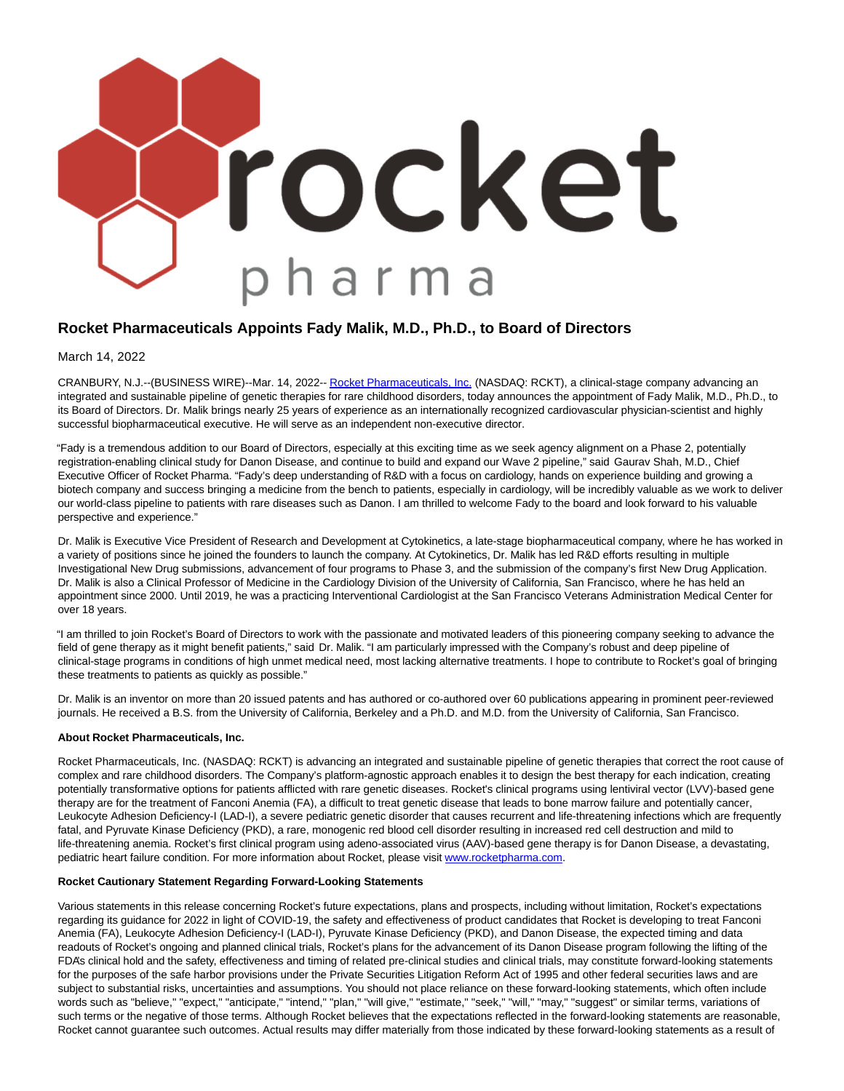

# **Rocket Pharmaceuticals Appoints Fady Malik, M.D., Ph.D., to Board of Directors**

March 14, 2022

CRANBURY, N.J.--(BUSINESS WIRE)--Mar. 14, 2022-[- Rocket Pharmaceuticals, Inc. \(](https://cts.businesswire.com/ct/CT?id=smartlink&url=https%3A%2F%2Frocketpharma.com%2F&esheet=52594650&newsitemid=20220314005237&lan=en-US&anchor=Rocket+Pharmaceuticals%2C+Inc.&index=1&md5=52342b98c441934dcd602eb96e38b86a)NASDAQ: RCKT), a clinical-stage company advancing an integrated and sustainable pipeline of genetic therapies for rare childhood disorders, today announces the appointment of Fady Malik, M.D., Ph.D., to its Board of Directors. Dr. Malik brings nearly 25 years of experience as an internationally recognized cardiovascular physician-scientist and highly successful biopharmaceutical executive. He will serve as an independent non-executive director.

"Fady is a tremendous addition to our Board of Directors, especially at this exciting time as we seek agency alignment on a Phase 2, potentially registration-enabling clinical study for Danon Disease, and continue to build and expand our Wave 2 pipeline," said Gaurav Shah, M.D., Chief Executive Officer of Rocket Pharma. "Fady's deep understanding of R&D with a focus on cardiology, hands on experience building and growing a biotech company and success bringing a medicine from the bench to patients, especially in cardiology, will be incredibly valuable as we work to deliver our world-class pipeline to patients with rare diseases such as Danon. I am thrilled to welcome Fady to the board and look forward to his valuable perspective and experience."

Dr. Malik is Executive Vice President of Research and Development at Cytokinetics, a late-stage biopharmaceutical company, where he has worked in a variety of positions since he joined the founders to launch the company. At Cytokinetics, Dr. Malik has led R&D efforts resulting in multiple Investigational New Drug submissions, advancement of four programs to Phase 3, and the submission of the company's first New Drug Application. Dr. Malik is also a Clinical Professor of Medicine in the Cardiology Division of the University of California, San Francisco, where he has held an appointment since 2000. Until 2019, he was a practicing Interventional Cardiologist at the San Francisco Veterans Administration Medical Center for over 18 years.

"I am thrilled to join Rocket's Board of Directors to work with the passionate and motivated leaders of this pioneering company seeking to advance the field of gene therapy as it might benefit patients," said Dr. Malik. "I am particularly impressed with the Company's robust and deep pipeline of clinical-stage programs in conditions of high unmet medical need, most lacking alternative treatments. I hope to contribute to Rocket's goal of bringing these treatments to patients as quickly as possible."

Dr. Malik is an inventor on more than 20 issued patents and has authored or co-authored over 60 publications appearing in prominent peer-reviewed journals. He received a B.S. from the University of California, Berkeley and a Ph.D. and M.D. from the University of California, San Francisco.

#### **About Rocket Pharmaceuticals, Inc.**

Rocket Pharmaceuticals, Inc. (NASDAQ: RCKT) is advancing an integrated and sustainable pipeline of genetic therapies that correct the root cause of complex and rare childhood disorders. The Company's platform-agnostic approach enables it to design the best therapy for each indication, creating potentially transformative options for patients afflicted with rare genetic diseases. Rocket's clinical programs using lentiviral vector (LVV)-based gene therapy are for the treatment of Fanconi Anemia (FA), a difficult to treat genetic disease that leads to bone marrow failure and potentially cancer, Leukocyte Adhesion Deficiency-I (LAD-I), a severe pediatric genetic disorder that causes recurrent and life-threatening infections which are frequently fatal, and Pyruvate Kinase Deficiency (PKD), a rare, monogenic red blood cell disorder resulting in increased red cell destruction and mild to life-threatening anemia. Rocket's first clinical program using adeno-associated virus (AAV)-based gene therapy is for Danon Disease, a devastating, pediatric heart failure condition. For more information about Rocket, please visit [www.rocketpharma.com.](https://cts.businesswire.com/ct/CT?id=smartlink&url=http%3A%2F%2Fwww.rocketpharma.com&esheet=52594650&newsitemid=20220314005237&lan=en-US&anchor=www.rocketpharma.com&index=2&md5=3b350e61b1af275460811fb4eddfb87f)

### **Rocket Cautionary Statement Regarding Forward-Looking Statements**

Various statements in this release concerning Rocket's future expectations, plans and prospects, including without limitation, Rocket's expectations regarding its guidance for 2022 in light of COVID-19, the safety and effectiveness of product candidates that Rocket is developing to treat Fanconi Anemia (FA), Leukocyte Adhesion Deficiency-I (LAD-I), Pyruvate Kinase Deficiency (PKD), and Danon Disease, the expected timing and data readouts of Rocket's ongoing and planned clinical trials, Rocket's plans for the advancement of its Danon Disease program following the lifting of the FDA's clinical hold and the safety, effectiveness and timing of related pre-clinical studies and clinical trials, may constitute forward-looking statements for the purposes of the safe harbor provisions under the Private Securities Litigation Reform Act of 1995 and other federal securities laws and are subject to substantial risks, uncertainties and assumptions. You should not place reliance on these forward-looking statements, which often include words such as "believe," "expect," "anticipate," "intend," "plan," "will give," "estimate," "seek," "will," "may," "suggest" or similar terms, variations of such terms or the negative of those terms. Although Rocket believes that the expectations reflected in the forward-looking statements are reasonable, Rocket cannot guarantee such outcomes. Actual results may differ materially from those indicated by these forward-looking statements as a result of